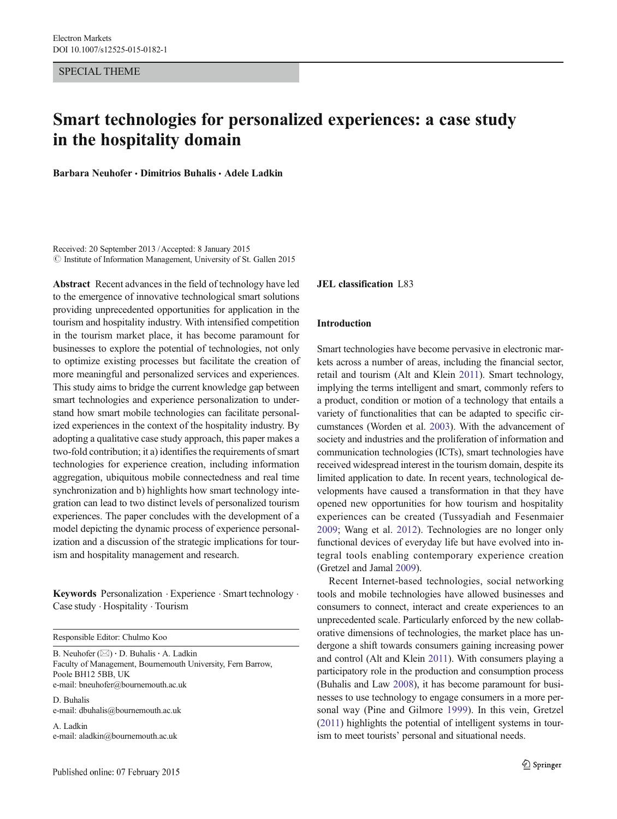SPECIAL THEME

# Smart technologies for personalized experiences: a case study in the hospitality domain

Barbara Neuhofer • Dimitrios Buhalis • Adele Ladkin

Received: 20 September 2013 /Accepted: 8 January 2015  $\odot$  Institute of Information Management, University of St. Gallen 2015

Abstract Recent advances in the field of technology have led to the emergence of innovative technological smart solutions providing unprecedented opportunities for application in the tourism and hospitality industry. With intensified competition in the tourism market place, it has become paramount for businesses to explore the potential of technologies, not only to optimize existing processes but facilitate the creation of more meaningful and personalized services and experiences. This study aims to bridge the current knowledge gap between smart technologies and experience personalization to understand how smart mobile technologies can facilitate personalized experiences in the context of the hospitality industry. By adopting a qualitative case study approach, this paper makes a two-fold contribution; it a) identifies the requirements of smart technologies for experience creation, including information aggregation, ubiquitous mobile connectedness and real time synchronization and b) highlights how smart technology integration can lead to two distinct levels of personalized tourism experiences. The paper concludes with the development of a model depicting the dynamic process of experience personalization and a discussion of the strategic implications for tourism and hospitality management and research.

Keywords Personalization . Experience . Smart technology . Case study . Hospitality . Tourism

Responsible Editor: Chulmo Koo

B. Neuhofer (⊠) · D. Buhalis · A. Ladkin Faculty of Management, Bournemouth University, Fern Barrow, Poole BH12 5BB, UK e-mail: bneuhofer@bournemouth.ac.uk

D. Buhalis e-mail: dbuhalis@bournemouth.ac.uk

A. Ladkin e-mail: aladkin@bournemouth.ac.uk JEL classification L83

# Introduction

Smart technologies have become pervasive in electronic markets across a number of areas, including the financial sector, retail and tourism (Alt and Klein 2011). Smart technology, implying the terms intelligent and smart, commonly refers to a product, condition or motion of a technology that entails a variety of functionalities that can be adapted to specific circumstances (Worden et al. 2003). With the advancement of society and industries and the proliferation of information and communication technologies (ICTs), smart technologies have received widespread interest in the tourism domain, despite its limited application to date. In recent years, technological developments have caused a transformation in that they have opened new opportunities for how tourism and hospitality experiences can be created (Tussyadiah and Fesenmaier 2009; Wang et al. 2012). Technologies are no longer only functional devices of everyday life but have evolved into integral tools enabling contemporary experience creation (Gretzel and Jamal 2009).

Recent Internet-based technologies, social networking tools and mobile technologies have allowed businesses and consumers to connect, interact and create experiences to an unprecedented scale. Particularly enforced by the new collaborative dimensions of technologies, the market place has undergone a shift towards consumers gaining increasing power and control (Alt and Klein 2011). With consumers playing a participatory role in the production and consumption process (Buhalis and Law 2008), it has become paramount for businesses to use technology to engage consumers in a more personal way (Pine and Gilmore 1999). In this vein, Gretzel (2011) highlights the potential of intelligent systems in tourism to meet tourists' personal and situational needs.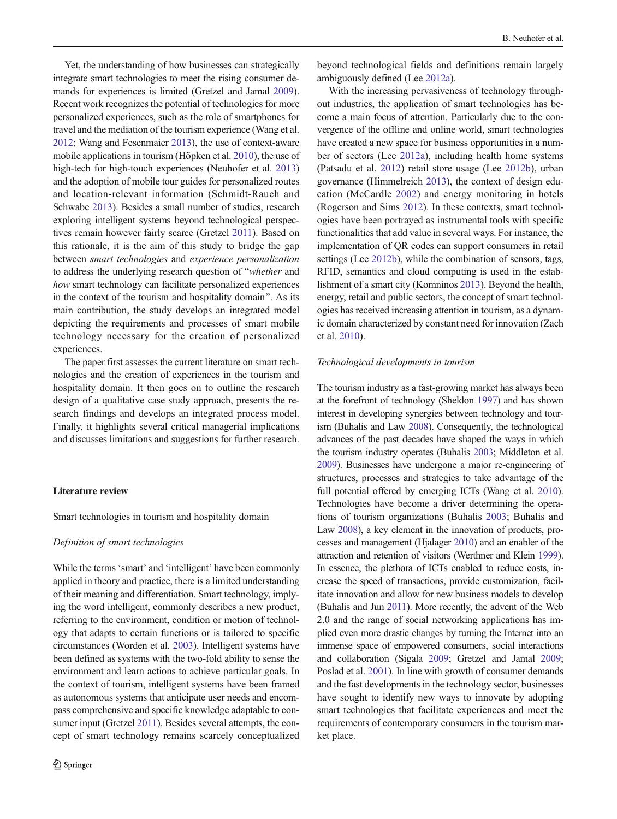Yet, the understanding of how businesses can strategically integrate smart technologies to meet the rising consumer demands for experiences is limited (Gretzel and Jamal 2009). Recent work recognizes the potential of technologies for more personalized experiences, such as the role of smartphones for travel and the mediation of the tourism experience (Wang et al. 2012; Wang and Fesenmaier 2013), the use of context-aware mobile applications in tourism (Höpken et al. 2010), the use of high-tech for high-touch experiences (Neuhofer et al. 2013) and the adoption of mobile tour guides for personalized routes and location-relevant information (Schmidt-Rauch and Schwabe 2013). Besides a small number of studies, research exploring intelligent systems beyond technological perspectives remain however fairly scarce (Gretzel 2011). Based on this rationale, it is the aim of this study to bridge the gap between *smart technologies* and *experience personalization* to address the underlying research question of "whether and *how* smart technology can facilitate personalized experiences in the context of the tourism and hospitality domain". As its main contribution, the study develops an integrated model depicting the requirements and processes of smart mobile technology necessary for the creation of personalized experiences.

The paper first assesses the current literature on smart technologies and the creation of experiences in the tourism and hospitality domain. It then goes on to outline the research design of a qualitative case study approach, presents the research findings and develops an integrated process model. Finally, it highlights several critical managerial implications and discusses limitations and suggestions for further research.

# Literature review

Smart technologies in tourism and hospitality domain

#### *Definition of smart technologies*

While the terms 'smart' and 'intelligent' have been commonly applied in theory and practice, there is a limited understanding of their meaning and differentiation. Smart technology, implying the word intelligent, commonly describes a new product, referring to the environment, condition or motion of technology that adapts to certain functions or is tailored to specific circumstances (Worden et al. 2003). Intelligent systems have been defined as systems with the two-fold ability to sense the environment and learn actions to achieve particular goals. In the context of tourism, intelligent systems have been framed as autonomous systems that anticipate user needs and encompass comprehensive and specific knowledge adaptable to consumer input (Gretzel 2011). Besides several attempts, the concept of smart technology remains scarcely conceptualized

beyond technological fields and definitions remain largely ambiguously defined (Lee 2012a).

With the increasing pervasiveness of technology throughout industries, the application of smart technologies has become a main focus of attention. Particularly due to the convergence of the offline and online world, smart technologies have created a new space for business opportunities in a number of sectors (Lee 2012a), including health home systems (Patsadu et al. 2012) retail store usage (Lee 2012b), urban governance (Himmelreich 2013), the context of design education (McCardle 2002) and energy monitoring in hotels (Rogerson and Sims 2012). In these contexts, smart technologies have been portrayed as instrumental tools with specific functionalities that add value in several ways. For instance, the implementation of QR codes can support consumers in retail settings (Lee 2012b), while the combination of sensors, tags, RFID, semantics and cloud computing is used in the establishment of a smart city (Komninos 2013). Beyond the health, energy, retail and public sectors, the concept of smart technologies has received increasing attention in tourism, as a dynamic domain characterized by constant need for innovation (Zach et al. 2010).

#### *Technological developments in tourism*

The tourism industry as a fast-growing market has always been at the forefront of technology (Sheldon 1997) and has shown interest in developing synergies between technology and tourism (Buhalis and Law 2008). Consequently, the technological advances of the past decades have shaped the ways in which the tourism industry operates (Buhalis 2003; Middleton et al. 2009). Businesses have undergone a major re-engineering of structures, processes and strategies to take advantage of the full potential offered by emerging ICTs (Wang et al. 2010). Technologies have become a driver determining the operations of tourism organizations (Buhalis 2003; Buhalis and Law 2008), a key element in the innovation of products, processes and management (Hjalager 2010) and an enabler of the attraction and retention of visitors (Werthner and Klein 1999). In essence, the plethora of ICTs enabled to reduce costs, increase the speed of transactions, provide customization, facilitate innovation and allow for new business models to develop (Buhalis and Jun 2011). More recently, the advent of the Web 2.0 and the range of social networking applications has implied even more drastic changes by turning the Internet into an immense space of empowered consumers, social interactions and collaboration (Sigala 2009; Gretzel and Jamal 2009; Poslad et al. 2001). In line with growth of consumer demands and the fast developments in the technology sector, businesses have sought to identify new ways to innovate by adopting smart technologies that facilitate experiences and meet the requirements of contemporary consumers in the tourism market place.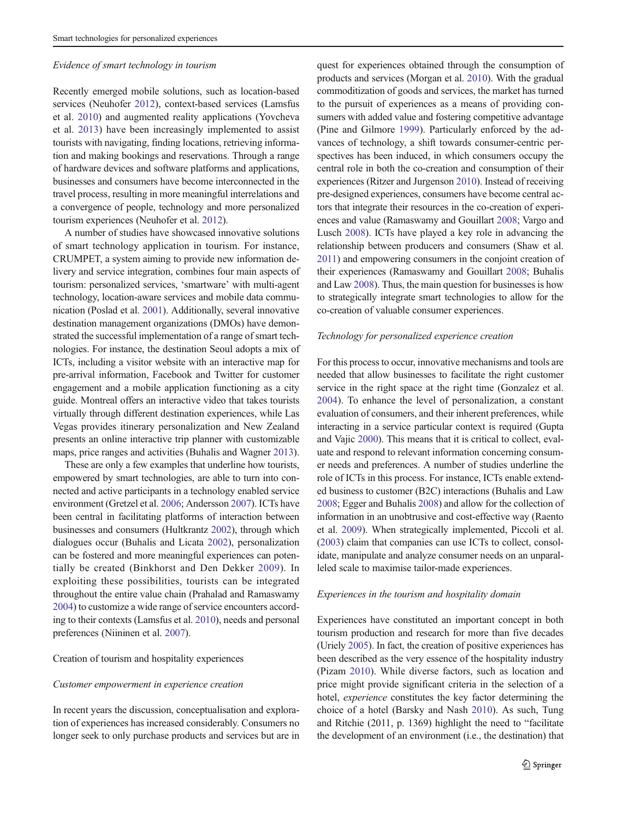#### *Evidence of smart technology in tourism*

Recently emerged mobile solutions, such as location-based services (Neuhofer 2012), context-based services (Lamsfus et al. 2010) and augmented reality applications (Yovcheva et al. 2013) have been increasingly implemented to assist tourists with navigating, finding locations, retrieving information and making bookings and reservations. Through a range of hardware devices and software platforms and applications, businesses and consumers have become interconnected in the travel process, resulting in more meaningful interrelations and a convergence of people, technology and more personalized tourism experiences (Neuhofer et al. 2012).

A number of studies have showcased innovative solutions of smart technology application in tourism. For instance, CRUMPET, a system aiming to provide new information delivery and service integration, combines four main aspects of tourism: personalized services, 'smartware' with multi-agent technology, location-aware services and mobile data communication (Poslad et al. 2001). Additionally, several innovative destination management organizations (DMOs) have demonstrated the successful implementation of a range of smart technologies. For instance, the destination Seoul adopts a mix of ICTs, including a visitor website with an interactive map for pre-arrival information, Facebook and Twitter for customer engagement and a mobile application functioning as a city guide. Montreal offers an interactive video that takes tourists virtually through different destination experiences, while Las Vegas provides itinerary personalization and New Zealand presents an online interactive trip planner with customizable maps, price ranges and activities (Buhalis and Wagner 2013).

These are only a few examples that underline how tourists, empowered by smart technologies, are able to turn into connected and active participants in a technology enabled service environment (Gretzel et al. 2006; Andersson 2007). ICTs have been central in facilitating platforms of interaction between businesses and consumers (Hultkrantz 2002), through which dialogues occur (Buhalis and Licata 2002), personalization can be fostered and more meaningful experiences can potentially be created (Binkhorst and Den Dekker 2009). In exploiting these possibilities, tourists can be integrated throughout the entire value chain (Prahalad and Ramaswamy 2004) to customize a wide range of service encounters according to their contexts (Lamsfus et al. 2010), needs and personal preferences (Niininen et al. 2007).

# Creation of tourism and hospitality experiences

## *Customer empowerment in experience creation*

In recent years the discussion, conceptualisation and exploration of experiences has increased considerably. Consumers no longer seek to only purchase products and services but are in quest for experiences obtained through the consumption of products and services (Morgan et al. 2010). With the gradual commoditization of goods and services, the market has turned to the pursuit of experiences as a means of providing consumers with added value and fostering competitive advantage (Pine and Gilmore 1999). Particularly enforced by the advances of technology, a shift towards consumer-centric perspectives has been induced, in which consumers occupy the central role in both the co-creation and consumption of their experiences (Ritzer and Jurgenson 2010). Instead of receiving pre-designed experiences, consumers have become central actors that integrate their resources in the co-creation of experiences and value (Ramaswamy and Gouillart 2008; Vargo and Lusch 2008). ICTs have played a key role in advancing the relationship between producers and consumers (Shaw et al. 2011) and empowering consumers in the conjoint creation of their experiences (Ramaswamy and Gouillart 2008; Buhalis and Law 2008). Thus, the main question for businesses is how to strategically integrate smart technologies to allow for the co-creation of valuable consumer experiences.

#### *Technology for personalized experience creation*

For this process to occur, innovative mechanisms and tools are needed that allow businesses to facilitate the right customer service in the right space at the right time (Gonzalez et al. 2004). To enhance the level of personalization, a constant evaluation of consumers, and their inherent preferences, while interacting in a service particular context is required (Gupta and Vajic 2000). This means that it is critical to collect, evaluate and respond to relevant information concerning consumer needs and preferences. A number of studies underline the role of ICTs in this process. For instance, ICTs enable extended business to customer (B2C) interactions (Buhalis and Law 2008; Egger and Buhalis 2008) and allow for the collection of information in an unobtrusive and cost-effective way (Raento et al. 2009). When strategically implemented, Piccoli et al. (2003) claim that companies can use ICTs to collect, consolidate, manipulate and analyze consumer needs on an unparalleled scale to maximise tailor-made experiences.

## *Experiences in the tourism and hospitality domain*

Experiences have constituted an important concept in both tourism production and research for more than five decades (Uriely 2005). In fact, the creation of positive experiences has been described as the very essence of the hospitality industry (Pizam 2010). While diverse factors, such as location and price might provide significant criteria in the selection of a hotel, *experience* constitutes the key factor determining the choice of a hotel (Barsky and Nash 2010). As such, Tung and Ritchie  $(2011, p. 1369)$  highlight the need to "facilitate" the development of an environment (i.e., the destination) that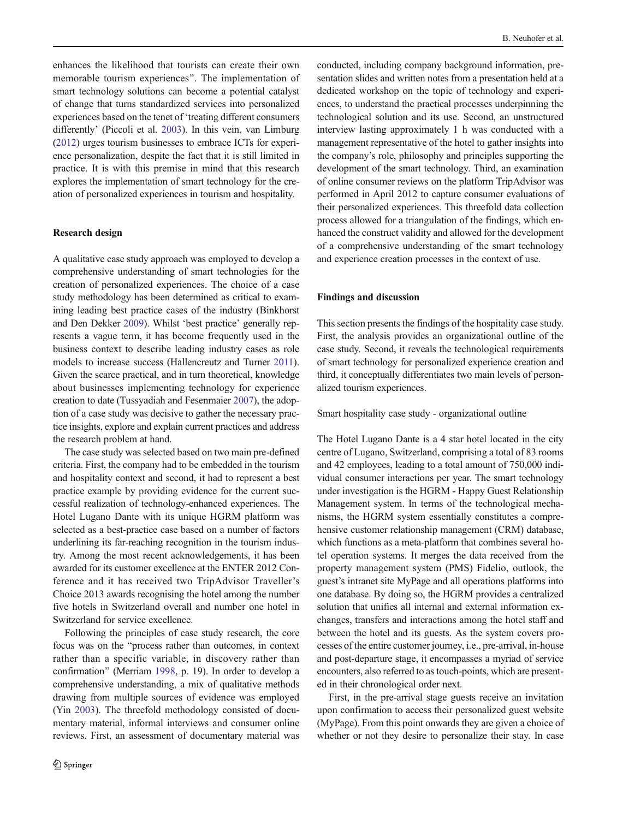enhances the likelihood that tourists can create their own memorable tourism experiences". The implementation of smart technology solutions can become a potential catalyst of change that turns standardized services into personalized experiences based on the tenet of 'treating different consumers differently' (Piccoli et al. 2003). In this vein, van Limburg (2012) urges tourism businesses to embrace ICTs for experience personalization, despite the fact that it is still limited in practice. It is with this premise in mind that this research explores the implementation of smart technology for the creation of personalized experiences in tourism and hospitality.

# Research design

A qualitative case study approach was employed to develop a comprehensive understanding of smart technologies for the creation of personalized experiences. The choice of a case study methodology has been determined as critical to examining leading best practice cases of the industry (Binkhorst and Den Dekker 2009). Whilst 'best practice' generally represents a vague term, it has become frequently used in the business context to describe leading industry cases as role models to increase success (Hallencreutz and Turner 2011). Given the scarce practical, and in turn theoretical, knowledge about businesses implementing technology for experience creation to date (Tussyadiah and Fesenmaier 2007), the adoption of a case study was decisive to gather the necessary practice insights, explore and explain current practices and address the research problem at hand.

The case study was selected based on two main pre-defined criteria. First, the company had to be embedded in the tourism and hospitality context and second, it had to represent a best practice example by providing evidence for the current successful realization of technology-enhanced experiences. The Hotel Lugano Dante with its unique HGRM platform was selected as a best-practice case based on a number of factors underlining its far-reaching recognition in the tourism industry. Among the most recent acknowledgements, it has been awarded for its customer excellence at the ENTER 2012 Conference and it has received two TripAdvisor Traveller's Choice 2013 awards recognising the hotel among the number five hotels in Switzerland overall and number one hotel in Switzerland for service excellence.

Following the principles of case study research, the core focus was on the "process rather than outcomes, in context rather than a specific variable, in discovery rather than confirmation" (Merriam 1998, p. 19). In order to develop a comprehensive understanding, a mix of qualitative methods drawing from multiple sources of evidence was employed (Yin 2003). The threefold methodology consisted of documentary material, informal interviews and consumer online reviews. First, an assessment of documentary material was conducted, including company background information, presentation slides and written notes from a presentation held at a dedicated workshop on the topic of technology and experiences, to understand the practical processes underpinning the technological solution and its use. Second, an unstructured interview lasting approximately 1 h was conducted with a management representative of the hotel to gather insights into the company's role, philosophy and principles supporting the development of the smart technology. Third, an examination of online consumer reviews on the platform TripAdvisor was performed in April 2012 to capture consumer evaluations of their personalized experiences. This threefold data collection process allowed for a triangulation of the findings, which enhanced the construct validity and allowed for the development of a comprehensive understanding of the smart technology and experience creation processes in the context of use.

#### Findings and discussion

This section presents the findings of the hospitality case study. First, the analysis provides an organizational outline of the case study. Second, it reveals the technological requirements of smart technology for personalized experience creation and third, it conceptually differentiates two main levels of personalized tourism experiences.

#### Smart hospitality case study - organizational outline

The Hotel Lugano Dante is a 4 star hotel located in the city centre of Lugano, Switzerland, comprising a total of 83 rooms and 42 employees, leading to a total amount of 750,000 individual consumer interactions per year. The smart technology under investigation is the HGRM - Happy Guest Relationship Management system. In terms of the technological mechanisms, the HGRM system essentially constitutes a comprehensive customer relationship management (CRM) database, which functions as a meta-platform that combines several hotel operation systems. It merges the data received from the property management system (PMS) Fidelio, outlook, the guest's intranet site MyPage and all operations platforms into one database. By doing so, the HGRM provides a centralized solution that unifies all internal and external information exchanges, transfers and interactions among the hotel staff and between the hotel and its guests. As the system covers processes of the entire customer journey, i.e., pre-arrival, in-house and post-departure stage, it encompasses a myriad of service encounters, also referred to as touch-points, which are presented in their chronological order next.

First, in the pre-arrival stage guests receive an invitation upon confirmation to access their personalized guest website (MyPage). From this point onwards they are given a choice of whether or not they desire to personalize their stay. In case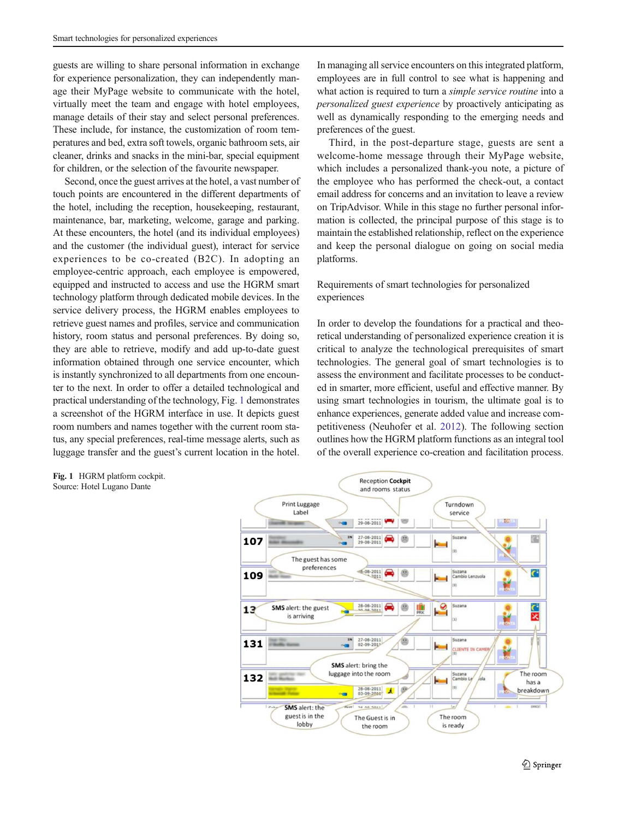guests are willing to share personal information in exchange for experience personalization, they can independently manage their MyPage website to communicate with the hotel, virtually meet the team and engage with hotel employees, manage details of their stay and select personal preferences. These include, for instance, the customization of room temperatures and bed, extra soft towels, organic bathroom sets, air cleaner, drinks and snacks in the mini-bar, special equipment for children, or the selection of the favourite newspaper.

Second, once the guest arrives at the hotel, a vast number of touch points are encountered in the different departments of the hotel, including the reception, housekeeping, restaurant, maintenance, bar, marketing, welcome, garage and parking. At these encounters, the hotel (and its individual employees) and the customer (the individual guest), interact for service experiences to be co-created (B2C). In adopting an employee-centric approach, each employee is empowered, equipped and instructed to access and use the HGRM smart technology platform through dedicated mobile devices. In the service delivery process, the HGRM enables employees to retrieve guest names and profiles, service and communication history, room status and personal preferences. By doing so, they are able to retrieve, modify and add up-to-date guest information obtained through one service encounter, which is instantly synchronized to all departments from one encounter to the next. In order to offer a detailed technological and practical understanding of the technology, Fig. 1 demonstrates a screenshot of the HGRM interface in use. It depicts guest room numbers and names together with the current room status, any special preferences, real-time message alerts, such as luggage transfer and the guest's current location in the hotel.

Fig. 1 HGRM platform cockpit. Source: Hotel Lugano Dante

In managing all service encounters on this integrated platform, employees are in full control to see what is happening and what action is required to turn a *simple service routine* into a *personalized guest experience* by proactively anticipating as well as dynamically responding to the emerging needs and preferences of the guest.

Third, in the post-departure stage, guests are sent a welcome-home message through their MyPage website, which includes a personalized thank-you note, a picture of the employee who has performed the check-out, a contact email address for concerns and an invitation to leave a review on TripAdvisor. While in this stage no further personal information is collected, the principal purpose of this stage is to maintain the established relationship, reflect on the experience and keep the personal dialogue on going on social media platforms.

# Requirements of smart technologies for personalized experiences

In order to develop the foundations for a practical and theoretical understanding of personalized experience creation it is critical to analyze the technological prerequisites of smart technologies. The general goal of smart technologies is to assess the environment and facilitate processes to be conducted in smarter, more efficient, useful and effective manner. By using smart technologies in tourism, the ultimate goal is to enhance experiences, generate added value and increase competitiveness (Neuhofer et al. 2012). The following section outlines how the HGRM platform functions as an integral tool of the overall experience co-creation and facilitation process.

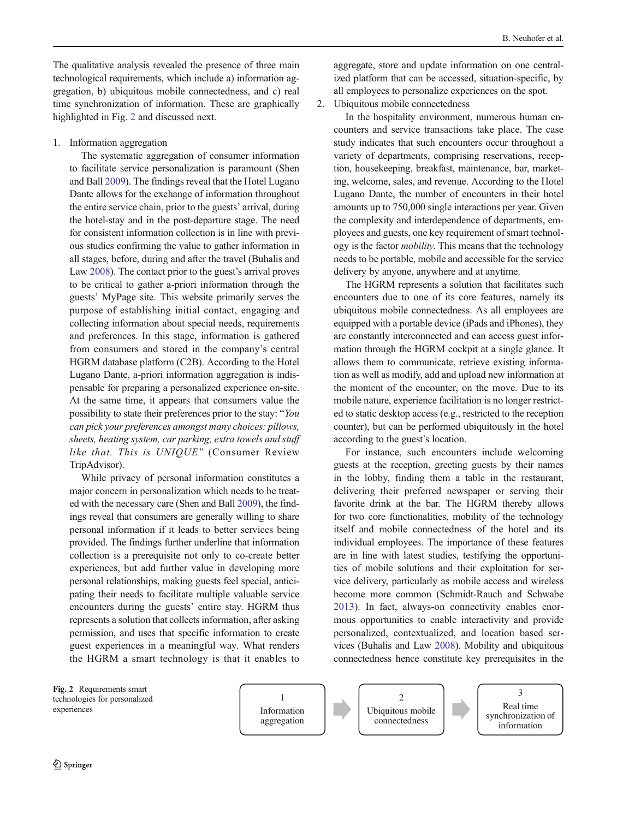The qualitative analysis revealed the presence of three main technological requirements, which include a) information aggregation, b) ubiquitous mobile connectedness, and c) real time synchronization of information. These are graphically highlighted in Fig. 2 and discussed next.

# 1. Information aggregation

The systematic aggregation of consumer information to facilitate service personalization is paramount (Shen and Ball 2009). The findings reveal that the Hotel Lugano Dante allows for the exchange of information throughout the entire service chain, prior to the guests' arrival, during the hotel-stay and in the post-departure stage. The need for consistent information collection is in line with previous studies confirming the value to gather information in all stages, before, during and after the travel (Buhalis and Law 2008). The contact prior to the guest's arrival proves to be critical to gather a-priori information through the guests' MyPage site. This website primarily serves the purpose of establishing initial contact, engaging and collecting information about special needs, requirements and preferences. In this stage, information is gathered from consumers and stored in the company's central HGRM database platform (C2B). According to the Hotel Lugano Dante, a-priori information aggregation is indispensable for preparing a personalized experience on-site. At the same time, it appears that consumers value the possibility to state their preferences prior to the stay: "*You can pick your preferences amongst many choices: pillows, sheets, heating system, car parking, extra towels and stuff like that. This is UNIQUE*^ (Consumer Review TripAdvisor).

While privacy of personal information constitutes a major concern in personalization which needs to be treated with the necessary care (Shen and Ball 2009), the findings reveal that consumers are generally willing to share personal information if it leads to better services being provided. The findings further underline that information collection is a prerequisite not only to co-create better experiences, but add further value in developing more personal relationships, making guests feel special, anticipating their needs to facilitate multiple valuable service encounters during the guests' entire stay. HGRM thus represents a solution that collects information, after asking permission, and uses that specific information to create guest experiences in a meaningful way. What renders the HGRM a smart technology is that it enables to

aggregate, store and update information on one centralized platform that can be accessed, situation-specific, by all employees to personalize experiences on the spot.

2. Ubiquitous mobile connectedness

In the hospitality environment, numerous human encounters and service transactions take place. The case study indicates that such encounters occur throughout a variety of departments, comprising reservations, reception, housekeeping, breakfast, maintenance, bar, marketing, welcome, sales, and revenue. According to the Hotel Lugano Dante, the number of encounters in their hotel amounts up to 750,000 single interactions per year. Given the complexity and interdependence of departments, employees and guests, one key requirement of smart technology is the factor *mobility*. This means that the technology needs to be portable, mobile and accessible for the service delivery by anyone, anywhere and at anytime.

The HGRM represents a solution that facilitates such encounters due to one of its core features, namely its ubiquitous mobile connectedness. As all employees are equipped with a portable device (iPads and iPhones), they are constantly interconnected and can access guest information through the HGRM cockpit at a single glance. It allows them to communicate, retrieve existing information as well as modify, add and upload new information at the moment of the encounter, on the move. Due to its mobile nature, experience facilitation is no longer restricted to static desktop access (e.g., restricted to the reception counter), but can be performed ubiquitously in the hotel according to the guest's location.

For instance, such encounters include welcoming guests at the reception, greeting guests by their names in the lobby, finding them a table in the restaurant, delivering their preferred newspaper or serving their favorite drink at the bar. The HGRM thereby allows for two core functionalities, mobility of the technology itself and mobile connectedness of the hotel and its individual employees. The importance of these features are in line with latest studies, testifying the opportunities of mobile solutions and their exploitation for service delivery, particularly as mobile access and wireless become more common (Schmidt-Rauch and Schwabe 2013). In fact, always-on connectivity enables enormous opportunities to enable interactivity and provide personalized, contextualized, and location based services (Buhalis and Law 2008). Mobility and ubiquitous connectedness hence constitute key prerequisites in the

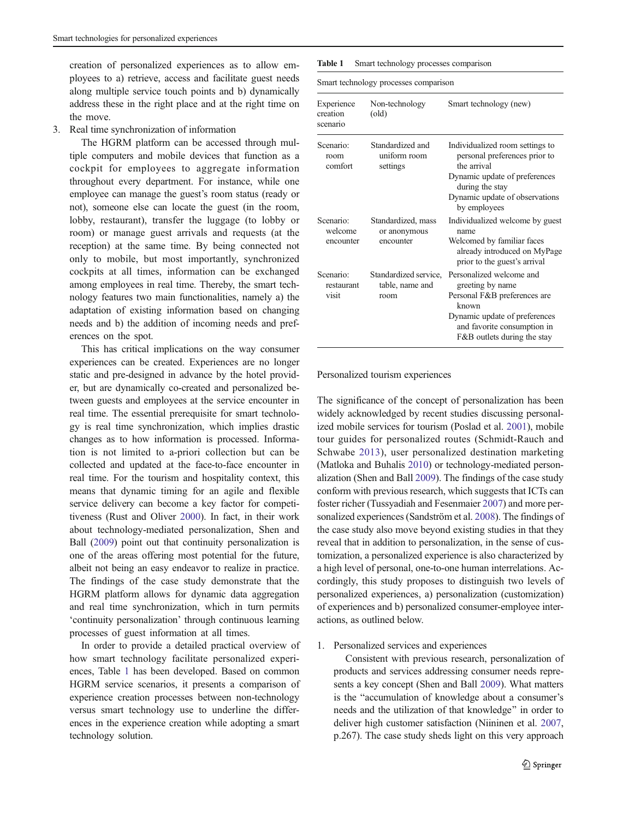creation of personalized experiences as to allow employees to a) retrieve, access and facilitate guest needs along multiple service touch points and b) dynamically address these in the right place and at the right time on the move.

3. Real time synchronization of information

The HGRM platform can be accessed through multiple computers and mobile devices that function as a cockpit for employees to aggregate information throughout every department. For instance, while one employee can manage the guest's room status (ready or not), someone else can locate the guest (in the room, lobby, restaurant), transfer the luggage (to lobby or room) or manage guest arrivals and requests (at the reception) at the same time. By being connected not only to mobile, but most importantly, synchronized cockpits at all times, information can be exchanged among employees in real time. Thereby, the smart technology features two main functionalities, namely a) the adaptation of existing information based on changing needs and b) the addition of incoming needs and preferences on the spot.

This has critical implications on the way consumer experiences can be created. Experiences are no longer static and pre-designed in advance by the hotel provider, but are dynamically co-created and personalized between guests and employees at the service encounter in real time. The essential prerequisite for smart technology is real time synchronization, which implies drastic changes as to how information is processed. Information is not limited to a-priori collection but can be collected and updated at the face-to-face encounter in real time. For the tourism and hospitality context, this means that dynamic timing for an agile and flexible service delivery can become a key factor for competitiveness (Rust and Oliver 2000). In fact, in their work about technology-mediated personalization, Shen and Ball (2009) point out that continuity personalization is one of the areas offering most potential for the future, albeit not being an easy endeavor to realize in practice. The findings of the case study demonstrate that the HGRM platform allows for dynamic data aggregation and real time synchronization, which in turn permits 'continuity personalization' through continuous learning processes of guest information at all times.

In order to provide a detailed practical overview of how smart technology facilitate personalized experiences, Table 1 has been developed. Based on common HGRM service scenarios, it presents a comparison of experience creation processes between non-technology versus smart technology use to underline the differences in the experience creation while adopting a smart technology solution.

#### Table 1 Smart technology processes comparison

Smart technology processes comparison

| Smart technology processes comparison |                                                  |                                                                                                                                                                                       |
|---------------------------------------|--------------------------------------------------|---------------------------------------------------------------------------------------------------------------------------------------------------------------------------------------|
| Experience<br>creation<br>scenario    | Non-technology<br>$\text{(old)}$                 | Smart technology (new)                                                                                                                                                                |
| Scenario:<br>room<br>comfort          | Standardized and<br>uniform room<br>settings     | Individualized room settings to<br>personal preferences prior to<br>the arrival<br>Dynamic update of preferences<br>during the stay<br>Dynamic update of observations<br>by employees |
| Scenario:<br>welcome<br>encounter     | Standardized, mass<br>or anonymous<br>encounter  | Individualized welcome by guest<br>name<br>Welcomed by familiar faces<br>already introduced on MyPage<br>prior to the guest's arrival                                                 |
| Scenario:<br>restaurant<br>visit      | Standardized service,<br>table, name and<br>room | Personalized welcome and<br>greeting by name<br>Personal F&B preferences are<br>known<br>Dynamic update of preferences<br>and favorite consumption in<br>F&B outlets during the stay  |

#### Personalized tourism experiences

The significance of the concept of personalization has been widely acknowledged by recent studies discussing personalized mobile services for tourism (Poslad et al. 2001), mobile tour guides for personalized routes (Schmidt-Rauch and Schwabe 2013), user personalized destination marketing (Matloka and Buhalis 2010) or technology-mediated personalization (Shen and Ball 2009). The findings of the case study conform with previous research, which suggests that ICTs can foster richer (Tussyadiah and Fesenmaier 2007) and more personalized experiences (Sandström et al. 2008). The findings of the case study also move beyond existing studies in that they reveal that in addition to personalization, in the sense of customization, a personalized experience is also characterized by a high level of personal, one-to-one human interrelations. Accordingly, this study proposes to distinguish two levels of personalized experiences, a) personalization (customization) of experiences and b) personalized consumer-employee interactions, as outlined below.

# 1. Personalized services and experiences

Consistent with previous research, personalization of products and services addressing consumer needs represents a key concept (Shen and Ball 2009). What matters is the "accumulation of knowledge about a consumer's needs and the utilization of that knowledge^ in order to deliver high customer satisfaction (Niininen et al. 2007, p.267). The case study sheds light on this very approach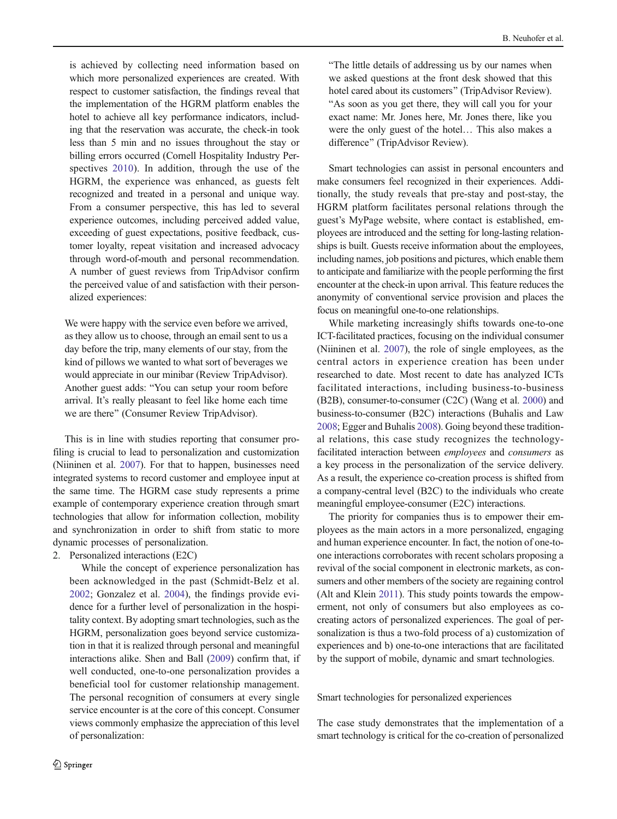is achieved by collecting need information based on which more personalized experiences are created. With respect to customer satisfaction, the findings reveal that the implementation of the HGRM platform enables the hotel to achieve all key performance indicators, including that the reservation was accurate, the check-in took less than 5 min and no issues throughout the stay or billing errors occurred (Cornell Hospitality Industry Perspectives 2010). In addition, through the use of the HGRM, the experience was enhanced, as guests felt recognized and treated in a personal and unique way. From a consumer perspective, this has led to several experience outcomes, including perceived added value, exceeding of guest expectations, positive feedback, customer loyalty, repeat visitation and increased advocacy through word-of-mouth and personal recommendation. A number of guest reviews from TripAdvisor confirm the perceived value of and satisfaction with their personalized experiences:

We were happy with the service even before we arrived, as they allow us to choose, through an email sent to us a day before the trip, many elements of our stay, from the kind of pillows we wanted to what sort of beverages we would appreciate in our minibar (Review TripAdvisor). Another guest adds: "You can setup your room before arrival. It's really pleasant to feel like home each time we are there" (Consumer Review TripAdvisor).

This is in line with studies reporting that consumer profiling is crucial to lead to personalization and customization (Niininen et al. 2007). For that to happen, businesses need integrated systems to record customer and employee input at the same time. The HGRM case study represents a prime example of contemporary experience creation through smart technologies that allow for information collection, mobility and synchronization in order to shift from static to more dynamic processes of personalization.

# 2. Personalized interactions (E2C)

While the concept of experience personalization has been acknowledged in the past (Schmidt-Belz et al. 2002; Gonzalez et al. 2004), the findings provide evidence for a further level of personalization in the hospitality context. By adopting smart technologies, such as the HGRM, personalization goes beyond service customization in that it is realized through personal and meaningful interactions alike. Shen and Ball (2009) confirm that, if well conducted, one-to-one personalization provides a beneficial tool for customer relationship management. The personal recognition of consumers at every single service encounter is at the core of this concept. Consumer views commonly emphasize the appreciation of this level of personalization:

"The little details of addressing us by our names when we asked questions at the front desk showed that this hotel cared about its customers" (TripAdvisor Review). "As soon as you get there, they will call you for your exact name: Mr. Jones here, Mr. Jones there, like you were the only guest of the hotel… This also makes a difference" (TripAdvisor Review).

Smart technologies can assist in personal encounters and make consumers feel recognized in their experiences. Additionally, the study reveals that pre-stay and post-stay, the HGRM platform facilitates personal relations through the guest's MyPage website, where contact is established, employees are introduced and the setting for long-lasting relationships is built. Guests receive information about the employees, including names, job positions and pictures, which enable them to anticipate and familiarize with the people performing the first encounter at the check-in upon arrival. This feature reduces the anonymity of conventional service provision and places the focus on meaningful one-to-one relationships.

While marketing increasingly shifts towards one-to-one ICT-facilitated practices, focusing on the individual consumer (Niininen et al. 2007), the role of single employees, as the central actors in experience creation has been under researched to date. Most recent to date has analyzed ICTs facilitated interactions, including business-to-business (B2B), consumer-to-consumer (C2C) (Wang et al. 2000) and business-to-consumer (B2C) interactions (Buhalis and Law 2008; Egger and Buhalis 2008). Going beyond these traditional relations, this case study recognizes the technologyfacilitated interaction between *employees* and *consumers* as a key process in the personalization of the service delivery. As a result, the experience co-creation process is shifted from a company-central level (B2C) to the individuals who create meaningful employee-consumer (E2C) interactions.

The priority for companies thus is to empower their employees as the main actors in a more personalized, engaging and human experience encounter. In fact, the notion of one-toone interactions corroborates with recent scholars proposing a revival of the social component in electronic markets, as consumers and other members of the society are regaining control (Alt and Klein 2011). This study points towards the empowerment, not only of consumers but also employees as cocreating actors of personalized experiences. The goal of personalization is thus a two-fold process of a) customization of experiences and b) one-to-one interactions that are facilitated by the support of mobile, dynamic and smart technologies.

# Smart technologies for personalized experiences

The case study demonstrates that the implementation of a smart technology is critical for the co-creation of personalized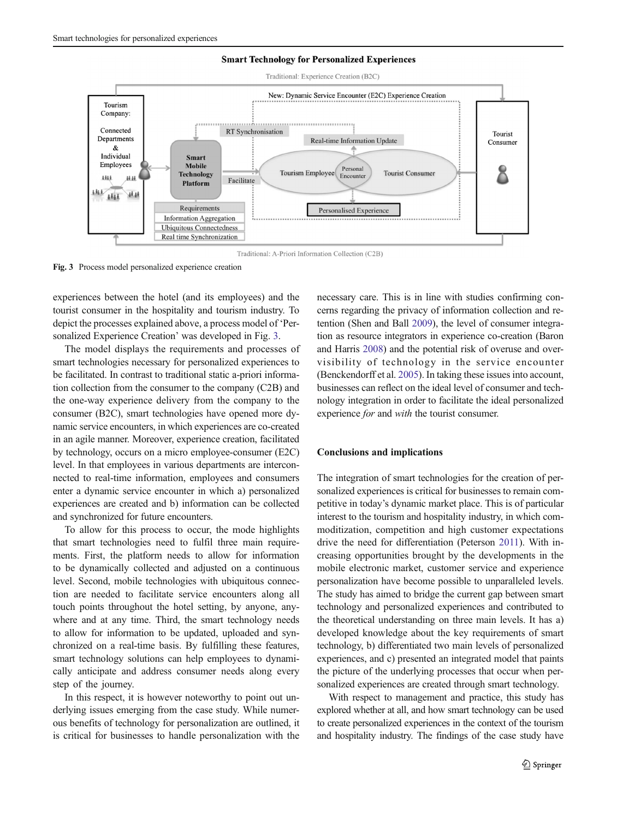

**Smart Technology for Personalized Experiences** 

Traditional: A-Priori Information Collection (C2B)

Fig. 3 Process model personalized experience creation

experiences between the hotel (and its employees) and the tourist consumer in the hospitality and tourism industry. To depict the processes explained above, a process model of 'Personalized Experience Creation' was developed in Fig. 3.

The model displays the requirements and processes of smart technologies necessary for personalized experiences to be facilitated. In contrast to traditional static a-priori information collection from the consumer to the company (C2B) and the one-way experience delivery from the company to the consumer (B2C), smart technologies have opened more dynamic service encounters, in which experiences are co-created in an agile manner. Moreover, experience creation, facilitated by technology, occurs on a micro employee-consumer (E2C) level. In that employees in various departments are interconnected to real-time information, employees and consumers enter a dynamic service encounter in which a) personalized experiences are created and b) information can be collected and synchronized for future encounters.

To allow for this process to occur, the mode highlights that smart technologies need to fulfil three main requirements. First, the platform needs to allow for information to be dynamically collected and adjusted on a continuous level. Second, mobile technologies with ubiquitous connection are needed to facilitate service encounters along all touch points throughout the hotel setting, by anyone, anywhere and at any time. Third, the smart technology needs to allow for information to be updated, uploaded and synchronized on a real-time basis. By fulfilling these features, smart technology solutions can help employees to dynamically anticipate and address consumer needs along every step of the journey.

In this respect, it is however noteworthy to point out underlying issues emerging from the case study. While numerous benefits of technology for personalization are outlined, it is critical for businesses to handle personalization with the necessary care. This is in line with studies confirming concerns regarding the privacy of information collection and retention (Shen and Ball 2009), the level of consumer integration as resource integrators in experience co-creation (Baron and Harris 2008) and the potential risk of overuse and overvisibility of technology in the service encounter (Benckendorff et al. 2005). In taking these issues into account, businesses can reflect on the ideal level of consumer and technology integration in order to facilitate the ideal personalized experience *for* and *with* the tourist consumer.

#### Conclusions and implications

The integration of smart technologies for the creation of personalized experiences is critical for businesses to remain competitive in today's dynamic market place. This is of particular interest to the tourism and hospitality industry, in which commoditization, competition and high customer expectations drive the need for differentiation (Peterson 2011). With increasing opportunities brought by the developments in the mobile electronic market, customer service and experience personalization have become possible to unparalleled levels. The study has aimed to bridge the current gap between smart technology and personalized experiences and contributed to the theoretical understanding on three main levels. It has a) developed knowledge about the key requirements of smart technology, b) differentiated two main levels of personalized experiences, and c) presented an integrated model that paints the picture of the underlying processes that occur when personalized experiences are created through smart technology.

With respect to management and practice, this study has explored whether at all, and how smart technology can be used to create personalized experiences in the context of the tourism and hospitality industry. The findings of the case study have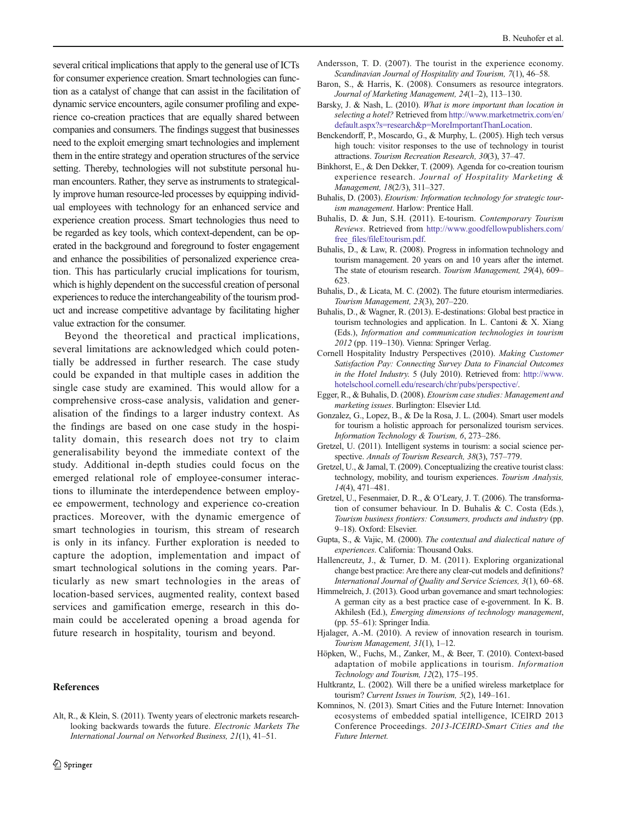several critical implications that apply to the general use of ICTs for consumer experience creation. Smart technologies can function as a catalyst of change that can assist in the facilitation of dynamic service encounters, agile consumer profiling and experience co-creation practices that are equally shared between companies and consumers. The findings suggest that businesses need to the exploit emerging smart technologies and implement them in the entire strategy and operation structures of the service setting. Thereby, technologies will not substitute personal human encounters. Rather, they serve as instruments to strategically improve human resource-led processes by equipping individual employees with technology for an enhanced service and experience creation process. Smart technologies thus need to be regarded as key tools, which context-dependent, can be operated in the background and foreground to foster engagement and enhance the possibilities of personalized experience creation. This has particularly crucial implications for tourism, which is highly dependent on the successful creation of personal experiences to reduce the interchangeability of the tourism product and increase competitive advantage by facilitating higher value extraction for the consumer.

Beyond the theoretical and practical implications, several limitations are acknowledged which could potentially be addressed in further research. The case study could be expanded in that multiple cases in addition the single case study are examined. This would allow for a comprehensive cross-case analysis, validation and generalisation of the findings to a larger industry context. As the findings are based on one case study in the hospitality domain, this research does not try to claim generalisability beyond the immediate context of the study. Additional in-depth studies could focus on the emerged relational role of employee-consumer interactions to illuminate the interdependence between employee empowerment, technology and experience co-creation practices. Moreover, with the dynamic emergence of smart technologies in tourism, this stream of research is only in its infancy. Further exploration is needed to capture the adoption, implementation and impact of smart technological solutions in the coming years. Particularly as new smart technologies in the areas of location-based services, augmented reality, context based services and gamification emerge, research in this domain could be accelerated opening a broad agenda for future research in hospitality, tourism and beyond.

#### References

Alt, R., & Klein, S. (2011). Twenty years of electronic markets researchlooking backwards towards the future. *Electronic Markets The International Journal on Networked Business, 21*(1), 41–51.

- Andersson, T. D. (2007). The tourist in the experience economy. *Scandinavian Journal of Hospitality and Tourism, 7*(1), 46–58.
- Baron, S., & Harris, K. (2008). Consumers as resource integrators. *Journal of Marketing Management, 24*(1–2), 113–130.
- Barsky, J. & Nash, L. (2010). *What is more important than location in selecting a hotel?* Retrieved from http://www.marketmetrix.com/en/ default.aspx?s=research&p=MoreImportantThanLocation.
- Benckendorff, P., Moscardo, G., & Murphy, L. (2005). High tech versus high touch: visitor responses to the use of technology in tourist attractions. *Tourism Recreation Research, 30*(3), 37–47.
- Binkhorst, E., & Den Dekker, T. (2009). Agenda for co-creation tourism experience research. *Journal of Hospitality Marketing & Management, 18*(2/3), 311–327.
- Buhalis, D. (2003). *Etourism: Information technology for strategic tourism management*. Harlow: Prentice Hall.
- Buhalis, D. & Jun, S.H. (2011). E-tourism. *Contemporary Tourism Reviews*. Retrieved from http://www.goodfellowpublishers.com/ free\_files/fileEtourism.pdf.
- Buhalis, D., & Law, R. (2008). Progress in information technology and tourism management. 20 years on and 10 years after the internet. The state of etourism research. *Tourism Management, 29*(4), 609– 623.
- Buhalis, D., & Licata, M. C. (2002). The future etourism intermediaries. *Tourism Management, 23*(3), 207–220.
- Buhalis, D., & Wagner, R. (2013). E-destinations: Global best practice in tourism technologies and application. In L. Cantoni & X. Xiang (Eds.), *Information and communication technologies in tourism 2012* (pp. 119–130). Vienna: Springer Verlag.
- Cornell Hospitality Industry Perspectives (2010). *Making Customer Satisfaction Pay: Connecting Survey Data to Financial Outcomes in the Hotel Industry*. 5 (July 2010). Retrieved from: http://www. hotelschool.cornell.edu/research/chr/pubs/perspective/.
- Egger, R., & Buhalis, D. (2008). *Etourism case studies: Management and marketing issues*. Burlington: Elsevier Ltd.
- Gonzalez, G., Lopez, B., & De la Rosa, J. L. (2004). Smart user models for tourism a holistic approach for personalized tourism services. *Information Technology & Tourism, 6*, 273–286.
- Gretzel, U. (2011). Intelligent systems in tourism: a social science perspective. *Annals of Tourism Research, 38*(3), 757–779.
- Gretzel, U., & Jamal, T. (2009). Conceptualizing the creative tourist class: technology, mobility, and tourism experiences. *Tourism Analysis, 14*(4), 471–481.
- Gretzel, U., Fesenmaier, D. R., & O'Leary, J. T. (2006). The transformation of consumer behaviour. In D. Buhalis & C. Costa (Eds.), *Tourism business frontiers: Consumers, products and industry* (pp. 9–18). Oxford: Elsevier.
- Gupta, S., & Vajic, M. (2000). *The contextual and dialectical nature of experiences*. California: Thousand Oaks.
- Hallencreutz, J., & Turner, D. M. (2011). Exploring organizational change best practice: Are there any clear-cut models and definitions? *International Journal of Quality and Service Sciences, 3*(1), 60–68.
- Himmelreich, J. (2013). Good urban governance and smart technologies: A german city as a best practice case of e-government. In K. B. Akhilesh (Ed.), *Emerging dimensions of technology management*, (pp. 55–61): Springer India.
- Hjalager, A.-M. (2010). A review of innovation research in tourism. *Tourism Management, 31*(1), 1–12.
- Höpken, W., Fuchs, M., Zanker, M., & Beer, T. (2010). Context-based adaptation of mobile applications in tourism. *Information Technology and Tourism, 12*(2), 175–195.
- Hultkrantz, L. (2002). Will there be a unified wireless marketplace for tourism? *Current Issues in Tourism, 5*(2), 149–161.
- Komninos, N. (2013). Smart Cities and the Future Internet: Innovation ecosystems of embedded spatial intelligence, ICEIRD 2013 Conference Proceedings. *2013-ICEIRD-Smart Cities and the Future Internet.*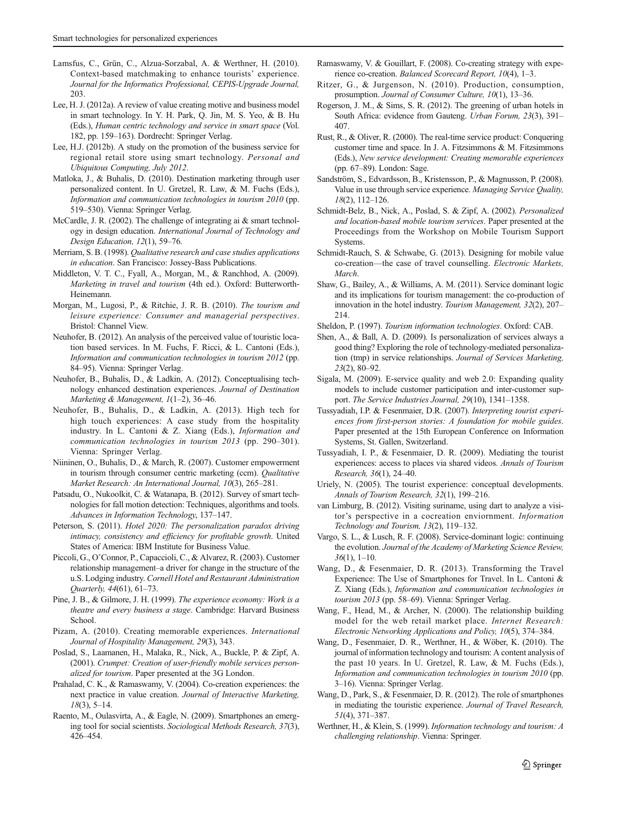- Lamsfus, C., Grün, C., Alzua-Sorzabal, A. & Werthner, H. (2010). Context-based matchmaking to enhance tourists' experience. *Journal for the Informatics Professional, CEPIS-Upgrade Journal,* 203.
- Lee, H. J. (2012a). A review of value creating motive and business model in smart technology. In Y. H. Park, Q. Jin, M. S. Yeo, & B. Hu (Eds.), *Human centric technology and service in smart space* (Vol. 182, pp. 159–163). Dordrecht: Springer Verlag.
- Lee, H.J. (2012b). A study on the promotion of the business service for regional retail store using smart technology. *Personal and Ubiquitous Computing, July 2012*.
- Matloka, J., & Buhalis, D. (2010). Destination marketing through user personalized content. In U. Gretzel, R. Law, & M. Fuchs (Eds.), *Information and communication technologies in tourism 2010* (pp. 519–530). Vienna: Springer Verlag.
- McCardle, J. R. (2002). The challenge of integrating ai & smart technology in design education. *International Journal of Technology and Design Education, 12*(1), 59–76.
- Merriam, S. B. (1998). *Qualitative research and case studies applications in education*. San Francisco: Jossey-Bass Publications.
- Middleton, V. T. C., Fyall, A., Morgan, M., & Ranchhod, A. (2009). *Marketing in travel and tourism* (4th ed.). Oxford: Butterworth-**Heinemann**
- Morgan, M., Lugosi, P., & Ritchie, J. R. B. (2010). *The tourism and leisure experience: Consumer and managerial perspectives*. Bristol: Channel View.
- Neuhofer, B. (2012). An analysis of the perceived value of touristic location based services. In M. Fuchs, F. Ricci, & L. Cantoni (Eds.), *Information and communication technologies in tourism 2012* (pp. 84–95). Vienna: Springer Verlag.
- Neuhofer, B., Buhalis, D., & Ladkin, A. (2012). Conceptualising technology enhanced destination experiences. *Journal of Destination Marketing & Management, 1*(1–2), 36–46.
- Neuhofer, B., Buhalis, D., & Ladkin, A. (2013). High tech for high touch experiences: A case study from the hospitality industry. In L. Cantoni & Z. Xiang (Eds.), *Information and communication technologies in tourism 2013* (pp. 290–301). Vienna: Springer Verlag.
- Niininen, O., Buhalis, D., & March, R. (2007). Customer empowerment in tourism through consumer centric marketing (ccm). *Qualitative Market Research: An International Journal, 10*(3), 265–281.
- Patsadu, O., Nukoolkit, C. & Watanapa, B. (2012). Survey of smart technologies for fall motion detection: Techniques, algorithms and tools. *Advances in Information Technology*, 137–147.
- Peterson, S. (2011). *Hotel 2020: The personalization paradox driving intimacy, consistency and efficiency for profitable growth*. United States of America: IBM Institute for Business Value.
- Piccoli, G., O'Connor, P., Capaccioli, C., & Alvarez, R. (2003). Customer relationship management–a driver for change in the structure of the u.S. Lodging industry. *Cornell Hotel and Restaurant Administration Quarterly, 44*(61), 61–73.
- Pine, J. B., & Gilmore, J. H. (1999). *The experience economy: Work is a theatre and every business a stage*. Cambridge: Harvard Business School.
- Pizam, A. (2010). Creating memorable experiences. *International Journal of Hospitality Management, 29*(3), 343.
- Poslad, S., Laamanen, H., Malaka, R., Nick, A., Buckle, P. & Zipf, A. (2001). *Crumpet: Creation of user-friendly mobile services personalized for tourism*. Paper presented at the 3G London.
- Prahalad, C. K., & Ramaswamy, V. (2004). Co-creation experiences: the next practice in value creation. *Journal of Interactive Marketing, 18*(3), 5–14.
- Raento, M., Oulasvirta, A., & Eagle, N. (2009). Smartphones an emerging tool for social scientists. *Sociological Methods Research, 37*(3), 426–454.
- Ramaswamy, V. & Gouillart, F. (2008). Co-creating strategy with experience co-creation. *Balanced Scorecard Report, 10*(4), 1–3.
- Ritzer, G., & Jurgenson, N. (2010). Production, consumption, prosumption. *Journal of Consumer Culture, 10*(1), 13–36.
- Rogerson, J. M., & Sims, S. R. (2012). The greening of urban hotels in South Africa: evidence from Gauteng. *Urban Forum, 23*(3), 391– 407.
- Rust, R., & Oliver, R. (2000). The real-time service product: Conquering customer time and space. In J. A. Fitzsimmons & M. Fitzsimmons (Eds.), *New service development: Creating memorable experiences* (pp. 67–89). London: Sage.
- Sandström, S., Edvardsson, B., Kristensson, P., & Magnusson, P. (2008). Value in use through service experience. *Managing Service Quality, 18*(2), 112–126.
- Schmidt-Belz, B., Nick, A., Poslad, S. & Zipf, A. (2002). *Personalized and location-based mobile tourism services*. Paper presented at the Proceedings from the Workshop on Mobile Tourism Support Systems.
- Schmidt-Rauch, S. & Schwabe, G. (2013). Designing for mobile value co-creation—the case of travel counselling. *Electronic Markets, March*.
- Shaw, G., Bailey, A., & Williams, A. M. (2011). Service dominant logic and its implications for tourism management: the co-production of innovation in the hotel industry. *Tourism Management, 32*(2), 207– 214.
- Sheldon, P. (1997). *Tourism information technologies*. Oxford: CAB.
- Shen, A., & Ball, A. D. (2009). Is personalization of services always a good thing? Exploring the role of technology-mediated personalization (tmp) in service relationships. *Journal of Services Marketing, 23*(2), 80–92.
- Sigala, M. (2009). E-service quality and web 2.0: Expanding quality models to include customer participation and inter-customer support. *The Service Industries Journal, 29*(10), 1341–1358.
- Tussyadiah, I.P. & Fesenmaier, D.R. (2007). *Interpreting tourist experiences from first-person stories: A foundation for mobile guides*. Paper presented at the 15th European Conference on Information Systems, St. Gallen, Switzerland.
- Tussyadiah, I. P., & Fesenmaier, D. R. (2009). Mediating the tourist experiences: access to places via shared videos. *Annals of Tourism Research, 36*(1), 24–40.
- Uriely, N. (2005). The tourist experience: conceptual developments. *Annals of Tourism Research, 32*(1), 199–216.
- van Limburg, B. (2012). Visiting suriname, using dart to analyze a visitor's perspective in a cocreation enviornment. *Information Technology and Tourism, 13*(2), 119–132.
- Vargo, S. L., & Lusch, R. F. (2008). Service-dominant logic: continuing the evolution. *Journal of the Academy of Marketing Science Review, 36*(1), 1–10.
- Wang, D., & Fesenmaier, D. R. (2013). Transforming the Travel Experience: The Use of Smartphones for Travel. In L. Cantoni & Z. Xiang (Eds.), *Information and communication technologies in tourism 2013* (pp. 58–69). Vienna: Springer Verlag.
- Wang, F., Head, M., & Archer, N. (2000). The relationship building model for the web retail market place. *Internet Research: Electronic Networking Applications and Policy, 10*(5), 374–384.
- Wang, D., Fesenmaier, D. R., Werthner, H., & Wöber, K. (2010). The journal of information technology and tourism: A content analysis of the past 10 years. In U. Gretzel, R. Law, & M. Fuchs (Eds.), *Information and communication technologies in tourism 2010* (pp. 3–16). Vienna: Springer Verlag.
- Wang, D., Park, S., & Fesenmaier, D. R. (2012). The role of smartphones in mediating the touristic experience. *Journal of Travel Research, 51*(4), 371–387.
- Werthner, H., & Klein, S. (1999). *Information technology and tourism: A challenging relationship*. Vienna: Springer.